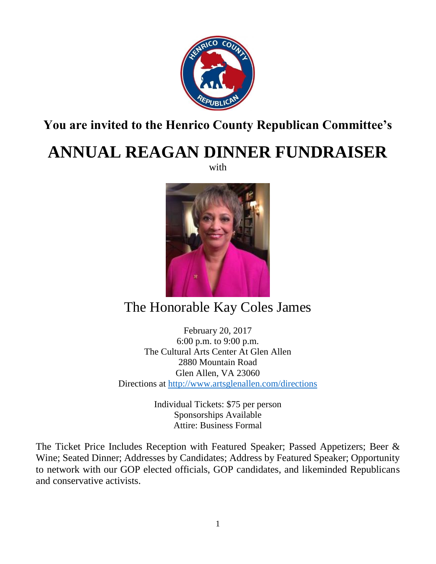

## **You are invited to the Henrico County Republican Committee's**

## **ANNUAL REAGAN DINNER FUNDRAISER**

with



## The Honorable Kay Coles James

February 20, 2017 6:00 p.m. to 9:00 p.m. The Cultural Arts Center At Glen Allen 2880 Mountain Road Glen Allen, VA 23060 Directions at<http://www.artsglenallen.com/directions>

> Individual Tickets: \$75 per person Sponsorships Available Attire: Business Formal

The Ticket Price Includes Reception with Featured Speaker; Passed Appetizers; Beer & Wine; Seated Dinner; Addresses by Candidates; Address by Featured Speaker; Opportunity to network with our GOP elected officials, GOP candidates, and likeminded Republicans and conservative activists.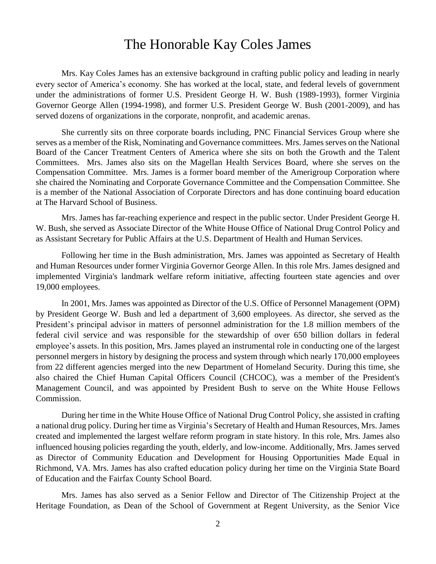## The Honorable Kay Coles James

Mrs. Kay Coles James has an extensive background in crafting public policy and leading in nearly every sector of America's economy. She has worked at the local, state, and federal levels of government under the administrations of former U.S. President George H. W. Bush (1989-1993), former Virginia Governor George Allen (1994-1998), and former U.S. President George W. Bush (2001-2009), and has served dozens of organizations in the corporate, nonprofit, and academic arenas.

She currently sits on three corporate boards including, PNC Financial Services Group where she serves as a member of the Risk, Nominating and Governance committees. Mrs. James serves on the National Board of the Cancer Treatment Centers of America where she sits on both the Growth and the Talent Committees. Mrs. James also sits on the Magellan Health Services Board, where she serves on the Compensation Committee. Mrs. James is a former board member of the Amerigroup Corporation where she chaired the Nominating and Corporate Governance Committee and the Compensation Committee. She is a member of the National Association of Corporate Directors and has done continuing board education at The Harvard School of Business.

Mrs. James has far-reaching experience and respect in the public sector. Under President George H. W. Bush, she served as Associate Director of the White House Office of National Drug Control Policy and as Assistant Secretary for Public Affairs at the U.S. Department of Health and Human Services.

Following her time in the Bush administration, Mrs. James was appointed as Secretary of Health and Human Resources under former Virginia Governor George Allen. In this role Mrs. James designed and implemented Virginia's landmark welfare reform initiative, affecting fourteen state agencies and over 19,000 employees.

In 2001, Mrs. James was appointed as Director of the U.S. Office of Personnel Management (OPM) by President George W. Bush and led a department of 3,600 employees. As director, she served as the President's principal advisor in matters of personnel administration for the 1.8 million members of the federal civil service and was responsible for the stewardship of over 650 billion dollars in federal employee's assets. In this position, Mrs. James played an instrumental role in conducting one of the largest personnel mergers in history by designing the process and system through which nearly 170,000 employees from 22 different agencies merged into the new Department of Homeland Security. During this time, she also chaired the Chief Human Capital Officers Council (CHCOC), was a member of the President's Management Council, and was appointed by President Bush to serve on the White House Fellows Commission.

During her time in the White House Office of National Drug Control Policy, she assisted in crafting a national drug policy. During her time as Virginia's Secretary of Health and Human Resources, Mrs. James created and implemented the largest welfare reform program in state history. In this role, Mrs. James also influenced housing policies regarding the youth, elderly, and low-income. Additionally, Mrs. James served as Director of Community Education and Development for Housing Opportunities Made Equal in Richmond, VA. Mrs. James has also crafted education policy during her time on the Virginia State Board of Education and the Fairfax County School Board.

Mrs. James has also served as a Senior Fellow and Director of The Citizenship Project at the Heritage Foundation, as Dean of the School of Government at Regent University, as the Senior Vice